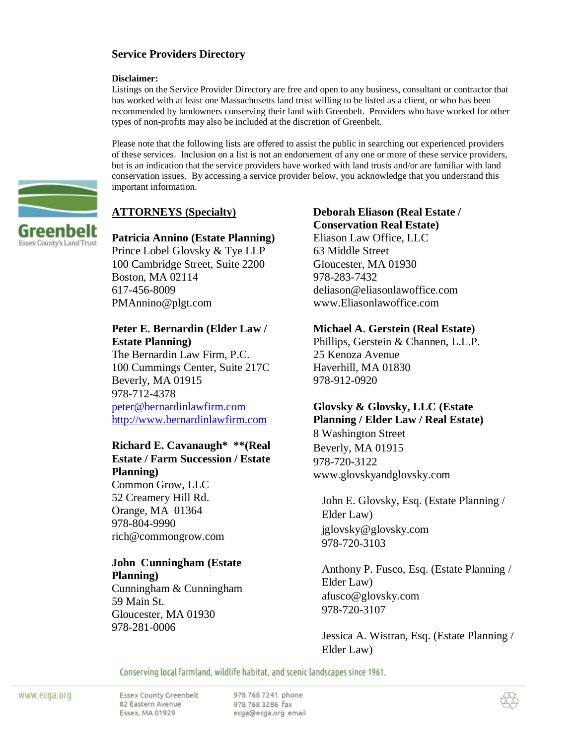#### **Service Providers Directory**

#### **Disclaimer:**

Listings on the Service Provider Directory are free and open to any business, consultant or contractor that has worked with at least one Massachusetts land trust willing to be listed as a client, or who has been recommended by landowners conserving their land with Greenbelt. Providers who have worked for other types of non-profits may also be included at the discretion of Greenbelt.

Please note that the following lists are offered to assist the public in searching out experienced providers of these services. Inclusion on a list is not an endorsement of any one or more of these service providers, but is an indication that the service providers have worked with land trusts and/or are familiar with land conservation issues. By accessing a service provider below, you acknowledge that you understand this important information.

# **ATTORNEYS (Specialty)**

#### ireenbelt Essex County's Land Trust

**Patricia Annino (Estate Planning)** Prince Lobel Glovsky & Tye LLP 100 Cambridge Street, Suite 2200 Boston, MA 02114 617-456-8009 PMAnnino@plgt.com

# **Peter E. Bernardin (Elder Law / Estate Planning)**

The Bernardin Law Firm, P.C. 100 Cummings Center, Suite 217C Beverly, MA 01915 978-712-4378 [peter@bernardinlawfirm.com](mailto:peter@bernardinlawfirm.com) [http://www.bernardinlawfirm.com](http://www.bernardinlawfirm.com/)

### **Richard E. Cavanaugh\* \*\*(Real Estate / Farm Succession / Estate Planning)**

Common Grow, LLC 52 Creamery Hill Rd. Orange, MA 01364 978-804-9990 rich@commongrow.com

#### **John Cunningham (Estate Planning)**

Cunningham & Cunningham 59 Main St. Gloucester, MA 01930 978-281-0006

# **Deborah Eliason (Real Estate / Conservation Real Estate)**

Eliason Law Office, LLC 63 Middle Street Gloucester, MA 01930 978-283-7432 deliason@eliasonlawoffice.com www.Eliasonlawoffice.com

### **Michael A. Gerstein (Real Estate)**

Phillips, Gerstein & Channen, L.L.P. 25 Kenoza Avenue Haverhill, MA 01830 978-912-0920

# **Glovsky & Glovsky, LLC (Estate Planning / Elder Law / Real Estate)**

8 Washington Street Beverly, MA 01915 978-720-3122 www.glovskyandglovsky.com

John E. Glovsky, Esq. (Estate Planning / Elder Law) jglovsky@glovsky.com 978-720-3103

Anthony P. Fusco, Esq. (Estate Planning / Elder Law) afusco@glovsky.com 978-720-3107

Jessica A. Wistran, Esq. (Estate Planning / Elder Law)

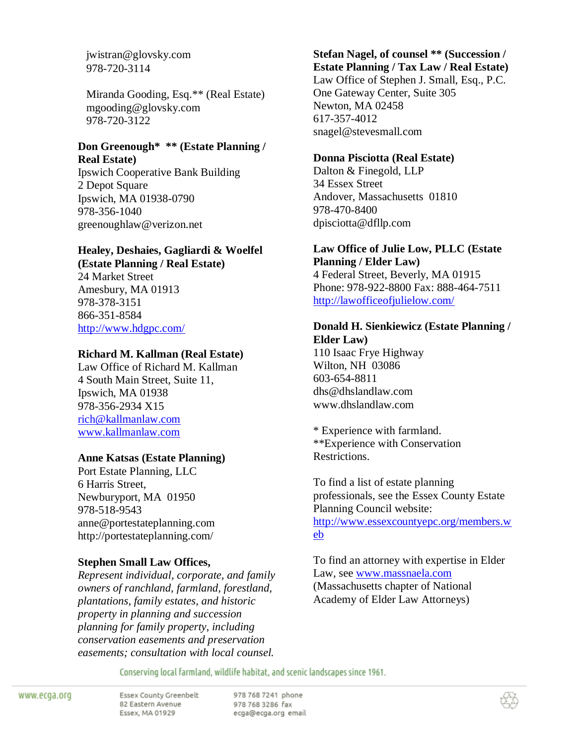jwistran@glovsky.com 978-720-3114

Miranda Gooding, Esq.\*\* (Real Estate) mgooding@glovsky.com 978-720-3122

# **Don Greenough\* \*\* (Estate Planning / Real Estate)**

Ipswich Cooperative Bank Building 2 Depot Square Ipswich, MA 01938-0790 978-356-1040 greenoughlaw@verizon.net

# **Healey, Deshaies, Gagliardi & Woelfel**

**(Estate Planning / Real Estate)** 24 Market Street Amesbury, MA 01913 978-378-3151 866-351-8584 <http://www.hdgpc.com/>

# **Richard M. Kallman (Real Estate)**

Law Office of Richard M. Kallman 4 South Main Street, Suite 11, Ipswich, MA 01938 978-356-2934 X15 [rich@kallmanlaw.com](mailto:rich@kallmanlaw.com) [www.kallmanlaw.com](http://www.kallmanlaw.com/)

# **Anne Katsas (Estate Planning)**

Port Estate Planning, LLC 6 Harris Street, Newburyport, MA 01950 978-518-9543 anne@portestateplanning.com http://portestateplanning.com/

# **Stephen Small Law Offices,**

*Represent individual, corporate, and family owners of ranchland, farmland, forestland, plantations, family estates, and historic property in planning and succession planning for family property, including conservation easements and preservation easements; consultation with local counsel.*

# **Stefan Nagel, of counsel \*\* (Succession / Estate Planning / Tax Law / Real Estate)**

Law Office of Stephen J. Small, Esq., P.C. One Gateway Center, Suite 305 Newton, MA 02458 617-357-4012 snagel@stevesmall.com

# **Donna Pisciotta (Real Estate)**

Dalton & Finegold, LLP 34 Essex Street Andover, Massachusetts 01810 978-470-8400 dpisciotta@dfllp.com

# **Law Office of Julie Low, PLLC (Estate Planning / Elder Law)**

4 Federal Street, Beverly, MA 01915 Phone: 978-922-8800 Fax: 888-464-7511 <http://lawofficeofjulielow.com/>

#### **Donald H. Sienkiewicz (Estate Planning / Elder Law)**

110 Isaac Frye Highway Wilton, NH 03086 603-654-8811 dhs@dhslandlaw.com www.dhslandlaw.com

\* Experience with farmland. \*\*Experience with Conservation Restrictions.

To find a list of estate planning professionals, see the Essex County Estate Planning Council website: [http://www.essexcountyepc.org/members.w](http://www.essexcountyepc.org/members.web) [eb](http://www.essexcountyepc.org/members.web)

To find an attorney with expertise in Elder Law, see [www.massnaela.com](http://www.massnaela.com/) (Massachusetts chapter of National Academy of Elder Law Attorneys)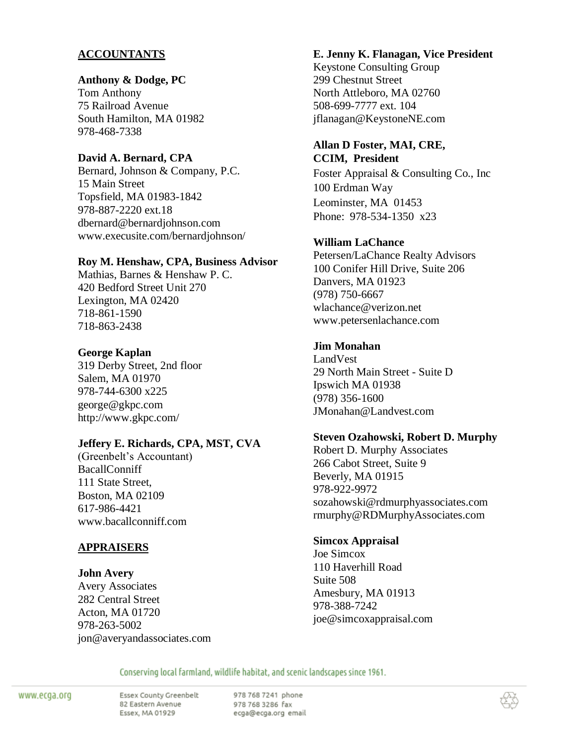# **ACCOUNTANTS**

#### **Anthony & Dodge, PC**

Tom Anthony 75 Railroad Avenue South Hamilton, MA 01982 978-468-7338

# **David A. Bernard, CPA**

Bernard, Johnson & Company, P.C. 15 Main Street Topsfield, MA 01983-1842 978-887-2220 ext.18 dbernard@bernardjohnson.com www.execusite.com/bernardjohnson/

#### **Roy M. Henshaw, CPA, Business Advisor**

Mathias, Barnes & Henshaw P. C. 420 Bedford Street Unit 270 Lexington, MA 02420 718-861-1590 718-863-2438

### **George Kaplan**

319 Derby Street, 2nd floor Salem, MA 01970 978-744-6300 x225 george@gkpc.com http://www.gkpc.com/

### **Jeffery E. Richards, CPA, MST, CVA**

(Greenbelt's Accountant) BacallConniff 111 State Street, Boston, MA 02109 617-986-4421 www.bacallconniff.com

# **APPRAISERS**

### **John Avery**

Avery Associates 282 Central Street Acton, MA 01720 978-263-5002 jon@averyandassociates.com

### **E. Jenny K. Flanagan, Vice President**

Keystone Consulting Group 299 Chestnut Street North Attleboro, MA 02760 508-699-7777 ext. 104 jflanagan@KeystoneNE.com

### **Allan D Foster, MAI, CRE, CCIM, President**

Foster Appraisal & Consulting Co., Inc 100 Erdman Way Leominster, MA 01453 Phone: 978-534-1350 x23

# **William LaChance**

Petersen/LaChance Realty Advisors 100 Conifer Hill Drive, Suite 206 Danvers, MA 01923 (978) 750-6667 wlachance@verizon.net www.petersenlachance.com

### **Jim Monahan**

LandVest 29 North Main Street - Suite D Ipswich MA 01938 (978) 356-1600 JMonahan@Landvest.com

### **Steven Ozahowski, Robert D. Murphy**

Robert D. Murphy Associates 266 Cabot Street, Suite 9 Beverly, MA 01915 978-922-9972 sozahowski@rdmurphyassociates.com rmurphy@RDMurphyAssociates.com

### **Simcox Appraisal**

Joe Simcox 110 Haverhill Road Suite 508 Amesbury, MA 01913 978-388-7242 joe@simcoxappraisal.com

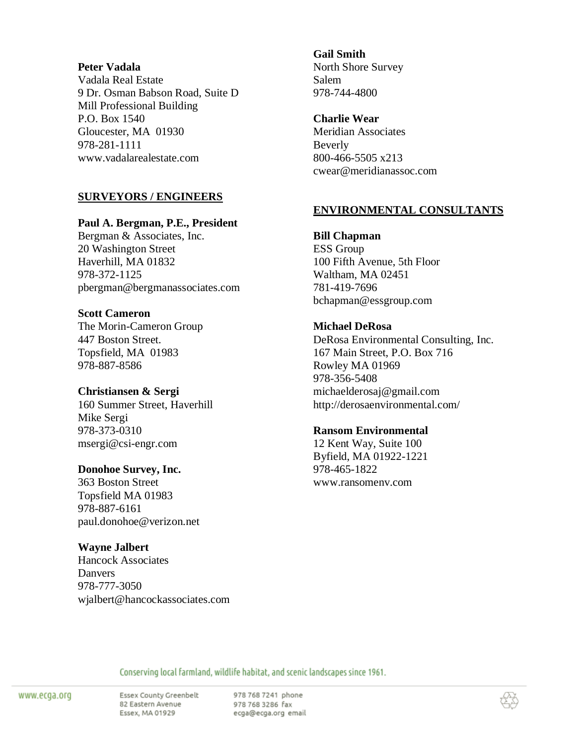#### **Peter Vadala**

Vadala Real Estate 9 Dr. Osman Babson Road, Suite D Mill Professional Building P.O. Box 1540 Gloucester, MA 01930 978-281-1111 www.vadalarealestate.com

# **SURVEYORS / ENGINEERS**

#### **Paul A. Bergman, P.E., President**

Bergman & Associates, Inc. 20 Washington Street Haverhill, MA 01832 978-372-1125 pbergman@bergmanassociates.com

### **Scott Cameron**

The Morin-Cameron Group 447 Boston Street. Topsfield, MA 01983 978-887-8586

### **Christiansen & Sergi**

160 Summer Street, Haverhill Mike Sergi 978-373-0310 msergi@csi-engr.com

### **Donohoe Survey, Inc.**

363 Boston Street Topsfield MA 01983 978-887-6161 paul.donohoe@verizon.net

### **Wayne Jalbert**

Hancock Associates **Danvers** 978-777-3050 wjalbert@hancockassociates.com

#### **Gail Smith**  North Shore Survey Salem 978-744-4800

### **Charlie Wear**

Meridian Associates Beverly 800-466-5505 x213 cwear@meridianassoc.com

# **ENVIRONMENTAL CONSULTANTS**

# **Bill Chapman**

ESS Group 100 Fifth Avenue, 5th Floor Waltham, MA 02451 781-419-7696 bchapman@essgroup.com

# **Michael DeRosa**

DeRosa Environmental Consulting, Inc. 167 Main Street, P.O. Box 716 Rowley MA 01969 978-356-5408 michaelderosaj@gmail.com http://derosaenvironmental.com/

### **Ransom Environmental**

12 Kent Way, Suite 100 Byfield, MA 01922-1221 978-465-1822 www.ransomenv.com